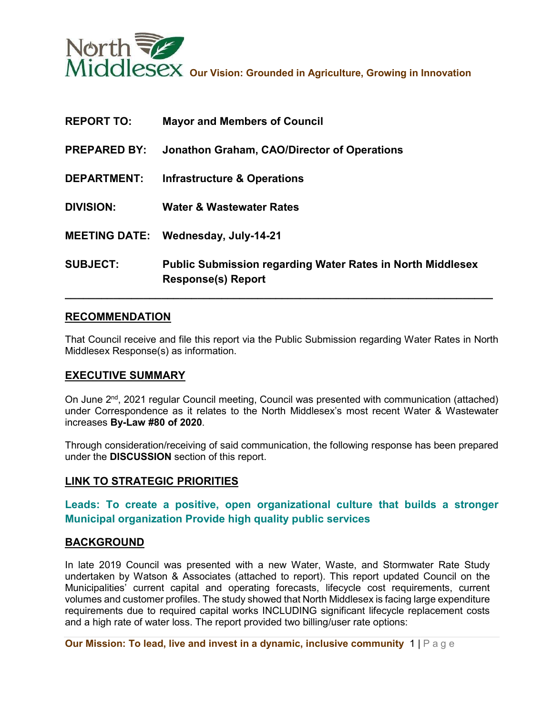

| <b>REPORT TO:</b>   | <b>Mayor and Members of Council</b>                                                            |
|---------------------|------------------------------------------------------------------------------------------------|
| <b>PREPARED BY:</b> | Jonathon Graham, CAO/Director of Operations                                                    |
| <b>DEPARTMENT:</b>  | <b>Infrastructure &amp; Operations</b>                                                         |
| <b>DIVISION:</b>    | <b>Water &amp; Wastewater Rates</b>                                                            |
|                     | <b>MEETING DATE: Wednesday, July-14-21</b>                                                     |
| <b>SUBJECT:</b>     | <b>Public Submission regarding Water Rates in North Middlesex</b><br><b>Response(s) Report</b> |

# **RECOMMENDATION**

That Council receive and file this report via the Public Submission regarding Water Rates in North Middlesex Response(s) as information.

# **EXECUTIVE SUMMARY**

On June 2<sup>nd</sup>, 2021 regular Council meeting, Council was presented with communication (attached) under Correspondence as it relates to the North Middlesex's most recent Water & Wastewater increases **By-Law #80 of 2020**.

Through consideration/receiving of said communication, the following response has been prepared under the **DISCUSSION** section of this report.

#### **LINK TO STRATEGIC PRIORITIES**

# **Leads: To create a positive, open organizational culture that builds a stronger Municipal organization Provide high quality public services**

#### **BACKGROUND**

In late 2019 Council was presented with a new Water, Waste, and Stormwater Rate Study undertaken by Watson & Associates (attached to report). This report updated Council on the Municipalities' current capital and operating forecasts, lifecycle cost requirements, current volumes and customer profiles. The study showed that North Middlesex is facing large expenditure requirements due to required capital works INCLUDING significant lifecycle replacement costs and a high rate of water loss. The report provided two billing/user rate options: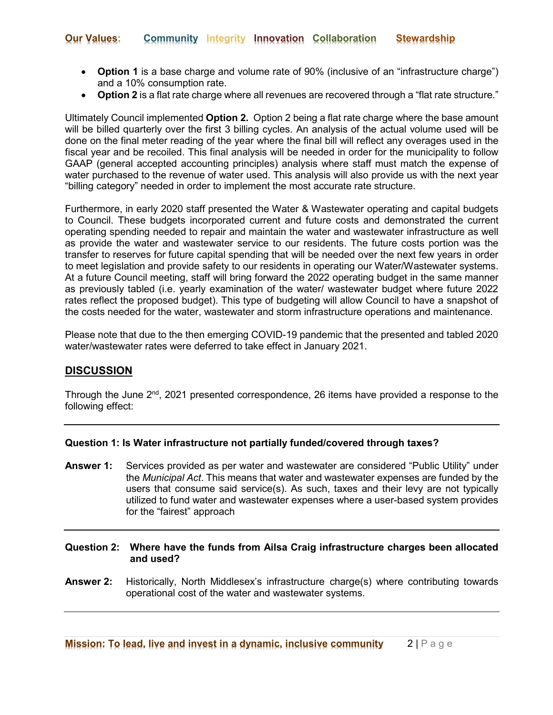- **Option 1** is a base charge and volume rate of 90% (inclusive of an "infrastructure charge") and a 10% consumption rate.
- **Option 2** is a flat rate charge where all revenues are recovered through a "flat rate structure."

Ultimately Council implemented **Option 2.** Option 2 being a flat rate charge where the base amount will be billed quarterly over the first 3 billing cycles. An analysis of the actual volume used will be done on the final meter reading of the year where the final bill will reflect any overages used in the fiscal year and be recoiled. This final analysis will be needed in order for the municipality to follow GAAP (general accepted accounting principles) analysis where staff must match the expense of water purchased to the revenue of water used. This analysis will also provide us with the next year "billing category" needed in order to implement the most accurate rate structure.

Furthermore, in early 2020 staff presented the Water & Wastewater operating and capital budgets to Council. These budgets incorporated current and future costs and demonstrated the current operating spending needed to repair and maintain the water and wastewater infrastructure as well as provide the water and wastewater service to our residents. The future costs portion was the transfer to reserves for future capital spending that will be needed over the next few years in order to meet legislation and provide safety to our residents in operating our Water/Wastewater systems. At a future Council meeting, staff will bring forward the 2022 operating budget in the same manner as previously tabled (i.e. yearly examination of the water/ wastewater budget where future 2022 rates reflect the proposed budget). This type of budgeting will allow Council to have a snapshot of the costs needed for the water, wastewater and storm infrastructure operations and maintenance.

Please note that due to the then emerging COVID-19 pandemic that the presented and tabled 2020 water/wastewater rates were deferred to take effect in January 2021.

# **DISCUSSION**

Through the June 2<sup>nd</sup>, 2021 presented correspondence, 26 items have provided a response to the following effect:

## **Question 1: Is Water infrastructure not partially funded/covered through taxes?**

- **Answer 1:** Services provided as per water and wastewater are considered "Public Utility" under the *Municipal Act*. This means that water and wastewater expenses are funded by the users that consume said service(s). As such, taxes and their levy are not typically utilized to fund water and wastewater expenses where a user-based system provides for the "fairest" approach
- **Question 2: Where have the funds from Ailsa Craig infrastructure charges been allocated and used?**
- **Answer 2:** Historically, North Middlesex's infrastructure charge(s) where contributing towards operational cost of the water and wastewater systems.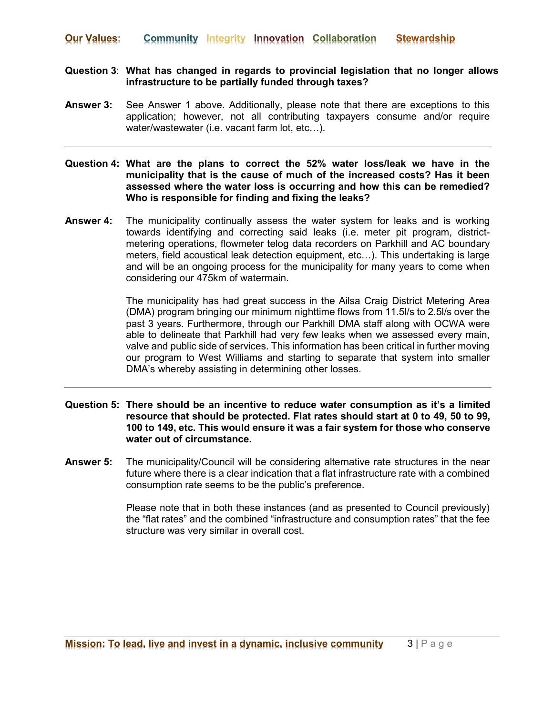## **Question 3**: **What has changed in regards to provincial legislation that no longer allows infrastructure to be partially funded through taxes?**

**Answer 3:** See Answer 1 above. Additionally, please note that there are exceptions to this application; however, not all contributing taxpayers consume and/or require water/wastewater (i.e. vacant farm lot, etc...).

**Question 4: What are the plans to correct the 52% water loss/leak we have in the municipality that is the cause of much of the increased costs? Has it been assessed where the water loss is occurring and how this can be remedied? Who is responsible for finding and fixing the leaks?**

**Answer 4:** The municipality continually assess the water system for leaks and is working towards identifying and correcting said leaks (i.e. meter pit program, districtmetering operations, flowmeter telog data recorders on Parkhill and AC boundary meters, field acoustical leak detection equipment, etc…). This undertaking is large and will be an ongoing process for the municipality for many years to come when considering our 475km of watermain.

> The municipality has had great success in the Ailsa Craig District Metering Area (DMA) program bringing our minimum nighttime flows from 11.5l/s to 2.5l/s over the past 3 years. Furthermore, through our Parkhill DMA staff along with OCWA were able to delineate that Parkhill had very few leaks when we assessed every main, valve and public side of services. This information has been critical in further moving our program to West Williams and starting to separate that system into smaller DMA's whereby assisting in determining other losses.

## **Question 5: There should be an incentive to reduce water consumption as it's a limited resource that should be protected. Flat rates should start at 0 to 49, 50 to 99, 100 to 149, etc. This would ensure it was a fair system for those who conserve water out of circumstance.**

**Answer 5:** The municipality/Council will be considering alternative rate structures in the near future where there is a clear indication that a flat infrastructure rate with a combined consumption rate seems to be the public's preference.

> Please note that in both these instances (and as presented to Council previously) the "flat rates" and the combined "infrastructure and consumption rates" that the fee structure was very similar in overall cost.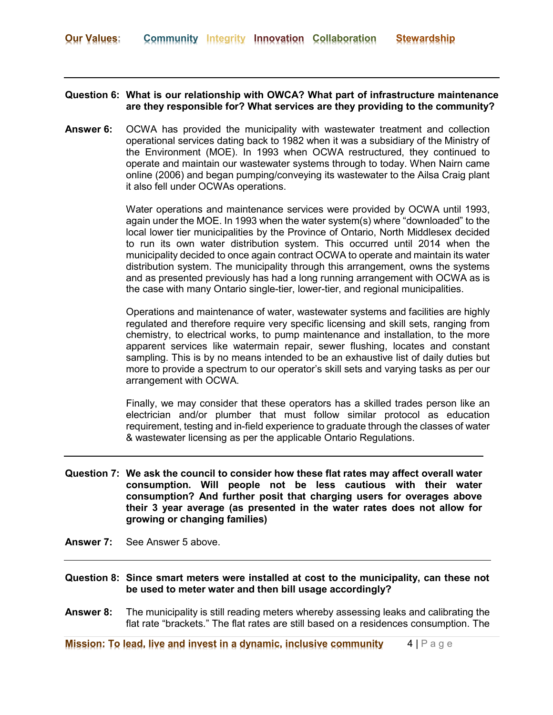# **Question 6: What is our relationship with OWCA? What part of infrastructure maintenance are they responsible for? What services are they providing to the community?**

**Answer 6:** OCWA has provided the municipality with wastewater treatment and collection operational services dating back to 1982 when it was a subsidiary of the Ministry of the Environment (MOE). In 1993 when OCWA restructured, they continued to operate and maintain our wastewater systems through to today. When Nairn came online (2006) and began pumping/conveying its wastewater to the Ailsa Craig plant it also fell under OCWAs operations.

> Water operations and maintenance services were provided by OCWA until 1993, again under the MOE. In 1993 when the water system(s) where "downloaded" to the local lower tier municipalities by the Province of Ontario, North Middlesex decided to run its own water distribution system. This occurred until 2014 when the municipality decided to once again contract OCWA to operate and maintain its water distribution system. The municipality through this arrangement, owns the systems and as presented previously has had a long running arrangement with OCWA as is the case with many Ontario single-tier, lower-tier, and regional municipalities.

> Operations and maintenance of water, wastewater systems and facilities are highly regulated and therefore require very specific licensing and skill sets, ranging from chemistry, to electrical works, to pump maintenance and installation, to the more apparent services like watermain repair, sewer flushing, locates and constant sampling. This is by no means intended to be an exhaustive list of daily duties but more to provide a spectrum to our operator's skill sets and varying tasks as per our arrangement with OCWA.

> Finally, we may consider that these operators has a skilled trades person like an electrician and/or plumber that must follow similar protocol as education requirement, testing and in-field experience to graduate through the classes of water & wastewater licensing as per the applicable Ontario Regulations.

- **Question 7: We ask the council to consider how these flat rates may affect overall water consumption. Will people not be less cautious with their water consumption? And further posit that charging users for overages above their 3 year average (as presented in the water rates does not allow for growing or changing families)**
- **Answer 7:** See Answer 5 above.
- **Question 8: Since smart meters were installed at cost to the municipality, can these not be used to meter water and then bill usage accordingly?**
- **Answer 8:** The municipality is still reading meters whereby assessing leaks and calibrating the flat rate "brackets." The flat rates are still based on a residences consumption. The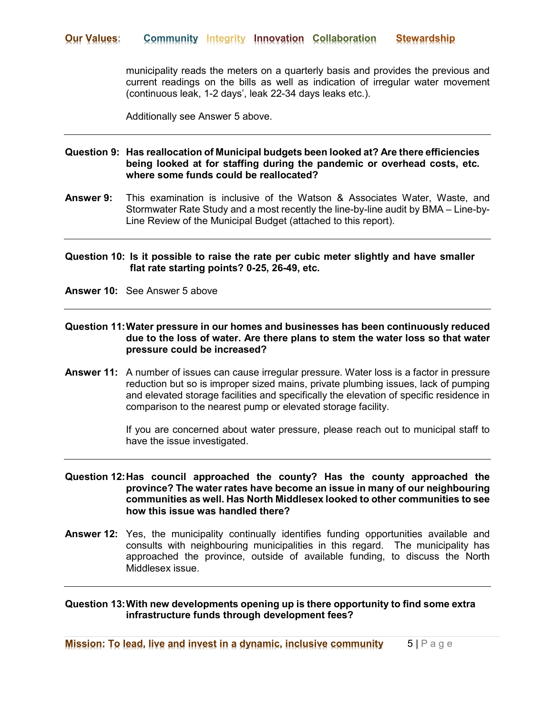municipality reads the meters on a quarterly basis and provides the previous and current readings on the bills as well as indication of irregular water movement (continuous leak, 1-2 days', leak 22-34 days leaks etc.).

Additionally see Answer 5 above.

## **Question 9: Has reallocation of Municipal budgets been looked at? Are there efficiencies being looked at for staffing during the pandemic or overhead costs, etc. where some funds could be reallocated?**

**Answer 9:** This examination is inclusive of the Watson & Associates Water, Waste, and Stormwater Rate Study and a most recently the line-by-line audit by BMA – Line-by-Line Review of the Municipal Budget (attached to this report).

## **Question 10: Is it possible to raise the rate per cubic meter slightly and have smaller flat rate starting points? 0-25, 26-49, etc.**

**Answer 10:** See Answer 5 above

## **Question 11:Water pressure in our homes and businesses has been continuously reduced due to the loss of water. Are there plans to stem the water loss so that water pressure could be increased?**

**Answer 11:** A number of issues can cause irregular pressure. Water loss is a factor in pressure reduction but so is improper sized mains, private plumbing issues, lack of pumping and elevated storage facilities and specifically the elevation of specific residence in comparison to the nearest pump or elevated storage facility.

> If you are concerned about water pressure, please reach out to municipal staff to have the issue investigated.

#### **Question 12:Has council approached the county? Has the county approached the province? The water rates have become an issue in many of our neighbouring communities as well. Has North Middlesex looked to other communities to see how this issue was handled there?**

**Answer 12:** Yes, the municipality continually identifies funding opportunities available and consults with neighbouring municipalities in this regard. The municipality has approached the province, outside of available funding, to discuss the North Middlesex issue.

**Question 13:With new developments opening up is there opportunity to find some extra infrastructure funds through development fees?**

**Mission: To lead, live and invest in a dynamic, inclusive community** 5 | Page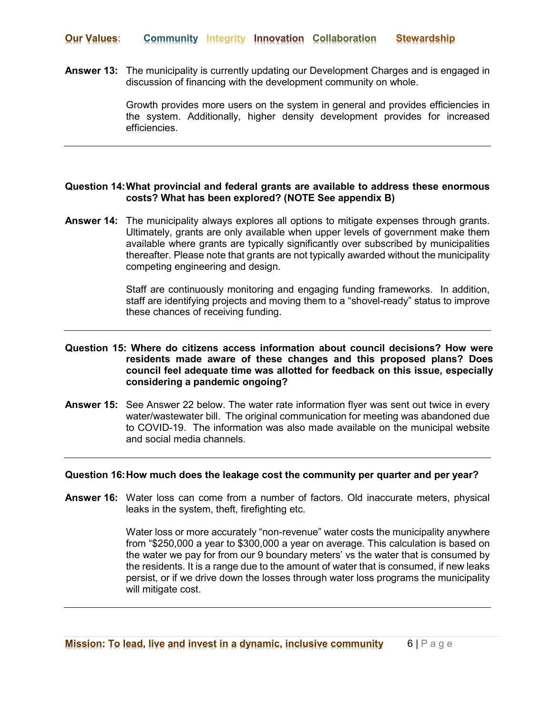**Answer 13:** The municipality is currently updating our Development Charges and is engaged in discussion of financing with the development community on whole.

> Growth provides more users on the system in general and provides efficiencies in the system. Additionally, higher density development provides for increased efficiencies.

## **Question 14:What provincial and federal grants are available to address these enormous costs? What has been explored? (NOTE See appendix B)**

**Answer 14:** The municipality always explores all options to mitigate expenses through grants. Ultimately, grants are only available when upper levels of government make them available where grants are typically significantly over subscribed by municipalities thereafter. Please note that grants are not typically awarded without the municipality competing engineering and design.

> Staff are continuously monitoring and engaging funding frameworks. In addition, staff are identifying projects and moving them to a "shovel-ready" status to improve these chances of receiving funding.

## **Question 15: Where do citizens access information about council decisions? How were residents made aware of these changes and this proposed plans? Does council feel adequate time was allotted for feedback on this issue, especially considering a pandemic ongoing?**

**Answer 15:** See Answer 22 below. The water rate information flyer was sent out twice in every water/wastewater bill. The original communication for meeting was abandoned due to COVID-19. The information was also made available on the municipal website and social media channels.

#### **Question 16:How much does the leakage cost the community per quarter and per year?**

**Answer 16:** Water loss can come from a number of factors. Old inaccurate meters, physical leaks in the system, theft, firefighting etc.

> Water loss or more accurately "non-revenue" water costs the municipality anywhere from "\$250,000 a year to \$300,000 a year on average. This calculation is based on the water we pay for from our 9 boundary meters' vs the water that is consumed by the residents. It is a range due to the amount of water that is consumed, if new leaks persist, or if we drive down the losses through water loss programs the municipality will mitigate cost.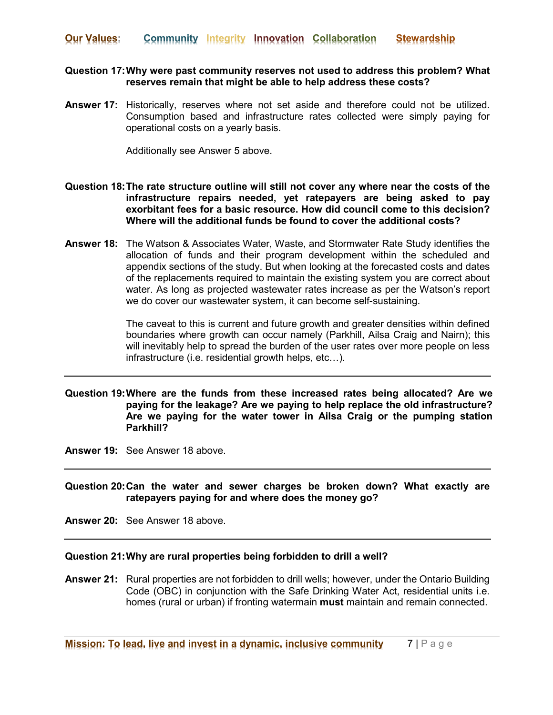## **Question 17:Why were past community reserves not used to address this problem? What reserves remain that might be able to help address these costs?**

**Answer 17:** Historically, reserves where not set aside and therefore could not be utilized. Consumption based and infrastructure rates collected were simply paying for operational costs on a yearly basis.

Additionally see Answer 5 above.

- **Question 18:The rate structure outline will still not cover any where near the costs of the infrastructure repairs needed, yet ratepayers are being asked to pay exorbitant fees for a basic resource. How did council come to this decision? Where will the additional funds be found to cover the additional costs?**
- **Answer 18:** The Watson & Associates Water, Waste, and Stormwater Rate Study identifies the allocation of funds and their program development within the scheduled and appendix sections of the study. But when looking at the forecasted costs and dates of the replacements required to maintain the existing system you are correct about water. As long as projected wastewater rates increase as per the Watson's report we do cover our wastewater system, it can become self-sustaining.

The caveat to this is current and future growth and greater densities within defined boundaries where growth can occur namely (Parkhill, Ailsa Craig and Nairn); this will inevitably help to spread the burden of the user rates over more people on less infrastructure (i.e. residential growth helps, etc…).

# **Question 19:Where are the funds from these increased rates being allocated? Are we paying for the leakage? Are we paying to help replace the old infrastructure? Are we paying for the water tower in Ailsa Craig or the pumping station Parkhill?**

**Answer 19:** See Answer 18 above.

**Question 20:Can the water and sewer charges be broken down? What exactly are ratepayers paying for and where does the money go?**

**Answer 20:** See Answer 18 above.

# **Question 21:Why are rural properties being forbidden to drill a well?**

**Answer 21:** Rural properties are not forbidden to drill wells; however, under the Ontario Building Code (OBC) in conjunction with the Safe Drinking Water Act, residential units i.e. homes (rural or urban) if fronting watermain **must** maintain and remain connected.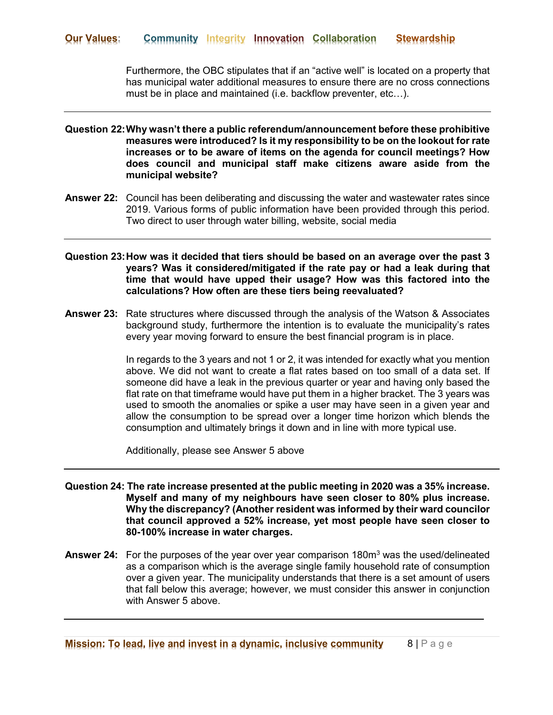Furthermore, the OBC stipulates that if an "active well" is located on a property that has municipal water additional measures to ensure there are no cross connections must be in place and maintained (i.e. backflow preventer, etc…).

- **Question 22:Why wasn't there a public referendum/announcement before these prohibitive measures were introduced? Is it my responsibility to be on the lookout for rate increases or to be aware of items on the agenda for council meetings? How does council and municipal staff make citizens aware aside from the municipal website?**
- **Answer 22:** Council has been deliberating and discussing the water and wastewater rates since 2019. Various forms of public information have been provided through this period. Two direct to user through water billing, website, social media
- **Question 23:How was it decided that tiers should be based on an average over the past 3 years? Was it considered/mitigated if the rate pay or had a leak during that time that would have upped their usage? How was this factored into the calculations? How often are these tiers being reevaluated?**
- **Answer 23:** Rate structures where discussed through the analysis of the Watson & Associates background study, furthermore the intention is to evaluate the municipality's rates every year moving forward to ensure the best financial program is in place.

In regards to the 3 years and not 1 or 2, it was intended for exactly what you mention above. We did not want to create a flat rates based on too small of a data set. If someone did have a leak in the previous quarter or year and having only based the flat rate on that timeframe would have put them in a higher bracket. The 3 years was used to smooth the anomalies or spike a user may have seen in a given year and allow the consumption to be spread over a longer time horizon which blends the consumption and ultimately brings it down and in line with more typical use.

Additionally, please see Answer 5 above

- **Question 24: The rate increase presented at the public meeting in 2020 was a 35% increase. Myself and many of my neighbours have seen closer to 80% plus increase. Why the discrepancy? (Another resident was informed by their ward councilor that council approved a 52% increase, yet most people have seen closer to 80-100% increase in water charges.**
- Answer 24: For the purposes of the year over year comparison 180m<sup>3</sup> was the used/delineated as a comparison which is the average single family household rate of consumption over a given year. The municipality understands that there is a set amount of users that fall below this average; however, we must consider this answer in conjunction with Answer 5 above.